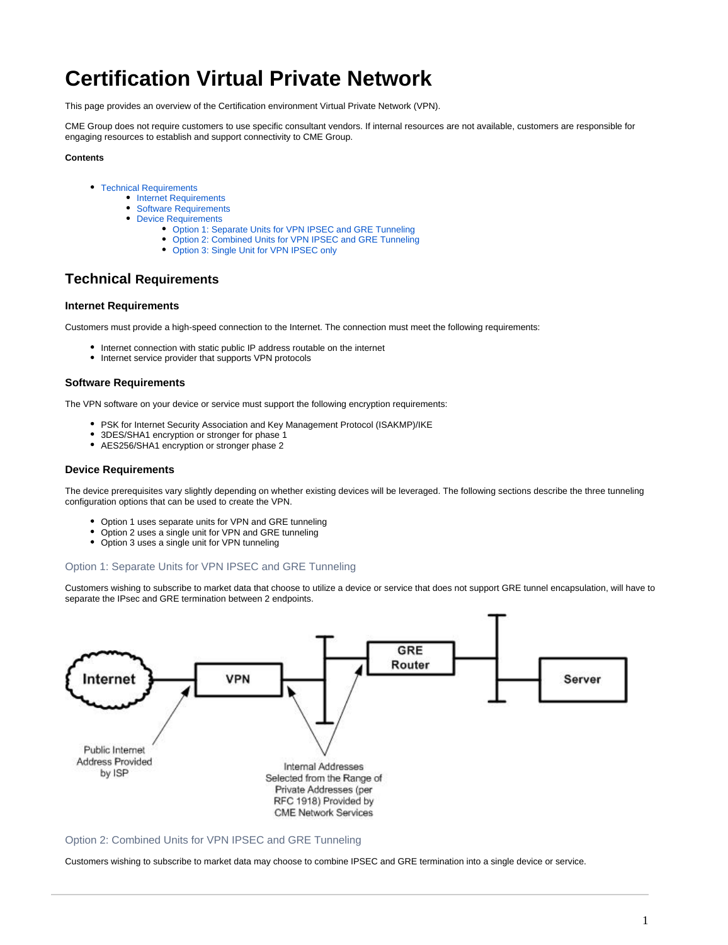# **Certification Virtual Private Network**

This page provides an overview of the Certification environment Virtual Private Network (VPN).

CME Group does not require customers to use specific consultant vendors. If internal resources are not available, customers are responsible for engaging resources to establish and support connectivity to CME Group.

#### **Contents**

- [Technical Requirements](#page-0-0)
	- [Internet Requirements](#page-0-1)
	- [Software Requirements](#page-0-2)
	- [Device Requirements](#page-0-3)
		- [Option 1: Separate Units for VPN IPSEC and GRE Tunneling](#page-0-4)
		- [Option 2: Combined Units for VPN IPSEC and GRE Tunneling](#page-0-5)
		- [Option 3: Single Unit for VPN IPSEC only](#page-1-0)

# <span id="page-0-0"></span>**Technical Requirements**

#### <span id="page-0-1"></span>**Internet Requirements**

Customers must provide a high-speed connection to the Internet. The connection must meet the following requirements:

- Internet connection with static public IP address routable on the internet
- Internet service provider that supports VPN protocols

#### <span id="page-0-2"></span>**Software Requirements**

The VPN software on your device or service must support the following encryption requirements:

- PSK for Internet Security Association and Key Management Protocol (ISAKMP)/IKE
- 3DES/SHA1 encryption or stronger for phase 1
- AES256/SHA1 encryption or stronger phase 2

#### <span id="page-0-3"></span>**Device Requirements**

The device prerequisites vary slightly depending on whether existing devices will be leveraged. The following sections describe the three tunneling configuration options that can be used to create the VPN.

- Option 1 uses separate units for VPN and GRE tunneling
- Option 2 uses a single unit for VPN and GRE tunneling
- Option 3 uses a single unit for VPN tunneling

## <span id="page-0-4"></span>Option 1: Separate Units for VPN IPSEC and GRE Tunneling

Customers wishing to subscribe to market data that choose to utilize a device or service that does not support GRE tunnel encapsulation, will have to separate the IPsec and GRE termination between 2 endpoints.



## <span id="page-0-5"></span>Option 2: Combined Units for VPN IPSEC and GRE Tunneling

Customers wishing to subscribe to market data may choose to combine IPSEC and GRE termination into a single device or service.